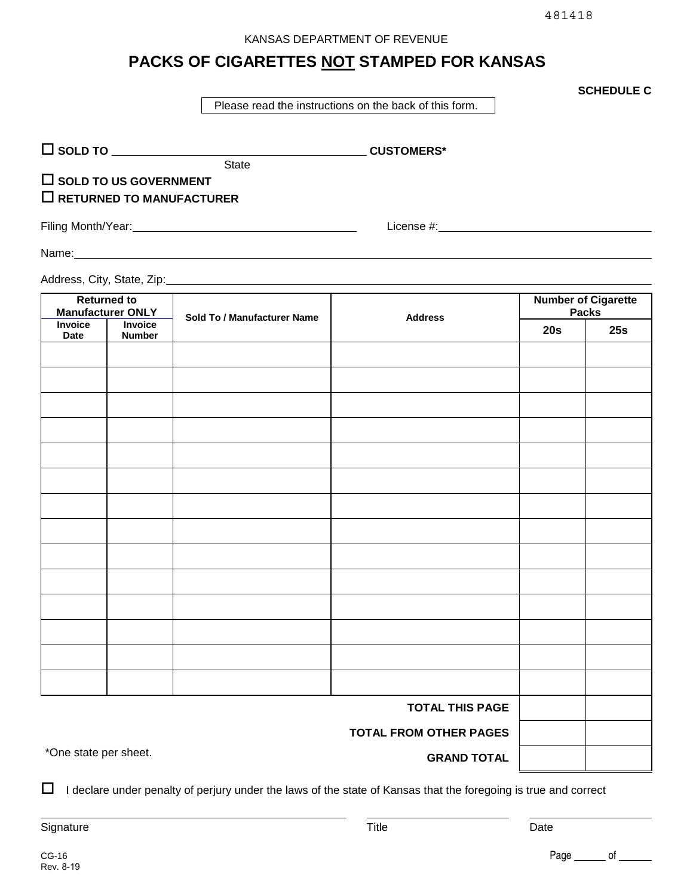**SCHEDULE C**

#### KANSAS DEPARTMENT OF REVENUE

## **PACKS OF CIGARETTES NOT STAMPED FOR KANSAS**

Please read the instructions on the back of this form.

 **SOLD TO CUSTOMERS\* State SOLD TO US GOVERNMENT RETURNED TO MANUFACTURER** Filing Month/Year: License #: License #: Name: Address, City, State, Zip: **Returned to Manufacturer ONLY Invoice Date Invoice Number Sold To / Manufacturer Name Address Number of Cigarette Packs 20s 25s TOTAL THIS PAGE TOTAL FROM OTHER PAGES** \*One state per sheet. **GRAND TOTAL**

 $\Box$  I declare under penalty of perjury under the laws of the state of Kansas that the foregoing is true and correct

Signature Title Date